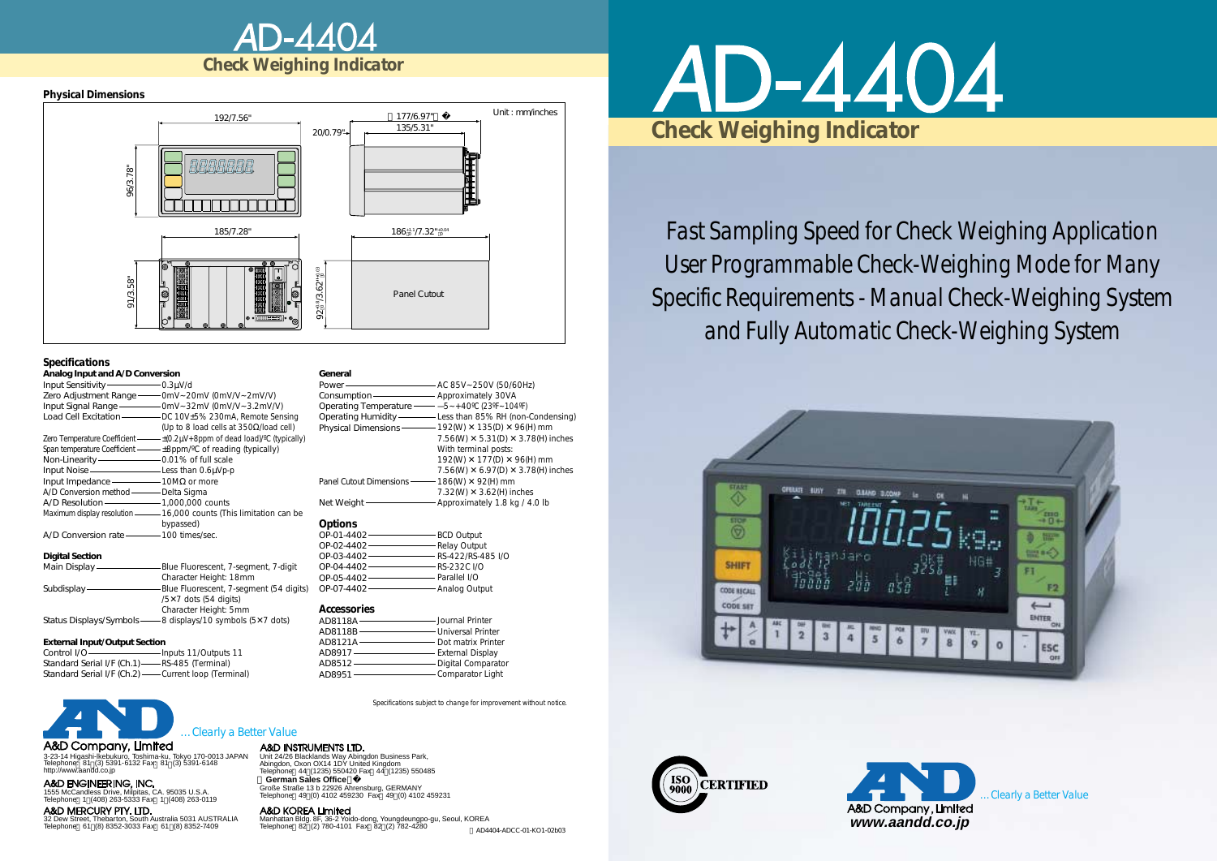



*Fast Sampling Speed for Check Weighing Application User Programmable Check-Weighing Mode for Many Specific Requirements - Manual Check-Weighing System and Fully Automatic Check-Weighing System*





A&D MERCURY PTY. LTD. 32 Dew Street, Thebarton, South Australia 5031 AUSTRALIA Telephone: 61 (8) 8352-3033 Fax: 61 (8) 8352-7409

3-23-14 Higashi-lkebukuro, Toshima-ku, Tokyo 170-0013 JAPAN Telephone: 81 (3) 5391-6132 Fax: 81 (3) 5391-6148 http://www.aandd.co.jp

1555 McCandless Drive, Milpitas, CA. 95035 U.S.A. Telephone: 1 (408) 263-5333 Fax: 1 (408) 263-0119

Unit 24/26 Blacklands Way Abingdon Business Park, Abingdon, Oxon OX14 1DY United Kingdom Telephone: 44 (1235) 550420 Fax: 44 (1235) 550485 **German Sales Office** Große Straße 13 b 22926 Ahrensburg, GERMANY Telephone: 49 (0) 4102 459230 Fax: 49 (0) 4102 459231

#### A&D KOREA Limited

Manhattan Bldg. 8F, 36-2 Yoido-dong, Youngdeungpo-gu, Seoul, KOREA Telephone: 82 (2) 780-4101 Fax: 82 (2) 782-4280

## *…Clearly a Better Value*

#### A&D INSTRUMENTS LTD.

*Specifications subject to change for improvement without notice.*





#### *Physical Dimensions*

#### *Specifications*

#### **External Input/Output Section**

| Analog Input and A/D Conversion          |                                                                                             |
|------------------------------------------|---------------------------------------------------------------------------------------------|
| Input Sensitivity-component D.3µV/d      |                                                                                             |
|                                          | Zero Adjustment Range - - OmV~20mV (0mV/V~2mV/V)                                            |
|                                          |                                                                                             |
|                                          | Load Cell Excitation - DC 10V±5% 230mA, Remote Sensing                                      |
|                                          | (Up to 8 load cells at $350\Omega$ /load cell)                                              |
|                                          | Zero Temperature Coefficient $-\frac{1}{2}(0.2\mu V + 8p)^{m}$ of dead load)/°C (typically) |
|                                          | Span temperature Coefficient - +8ppm/°C of reading (typically)                              |
|                                          |                                                                                             |
| Input Noise ——————————Less than 0.6µVp-p |                                                                                             |
|                                          |                                                                                             |
| A/D Conversion method - Delta Sigma      |                                                                                             |
|                                          |                                                                                             |
|                                          | Maximum display resolution - 16,000 counts (This limitation can be                          |
|                                          | bypassed)                                                                                   |
| A/D Conversion rate - 100 times/sec.     |                                                                                             |
|                                          |                                                                                             |
| <b>Digital Section</b>                   |                                                                                             |
|                                          | Main Display - Blue Fluorescent, 7-segment, 7-digit                                         |
|                                          | Character Height: 18mm                                                                      |
|                                          | Subdisplay - Blue Fluorescent, 7-segment (54 digits)                                        |
|                                          | $/5x7$ dots (54 digits)                                                                     |
|                                          | Character Height: 5mm                                                                       |
|                                          | Status Displays/Symbols - 8 displays/10 symbols (5X7 dots)                                  |
|                                          |                                                                                             |

| Control I/O-                                         | -Inputs 11/Outputs 11 |
|------------------------------------------------------|-----------------------|
| Standard Serial I/F (Ch.1) -- RS-485 (Terminal)      |                       |
| Standard Serial I/F (Ch.2) — Current loop (Terminal) |                       |

#### A&D Company, Limited

#### **General**

#### *Accessories*

| Generai                                             |                                                                  |
|-----------------------------------------------------|------------------------------------------------------------------|
|                                                     |                                                                  |
| Consumption - Approximately 30VA                    |                                                                  |
| Operating Temperature - - -5 ~ +40°C (23°F ~ 104°F) |                                                                  |
|                                                     | Operating Humidity - Less than 85% RH (non-Condensing)           |
|                                                     | Physical Dimensions $-$ 192(W) $\times$ 135(D) $\times$ 96(H) mm |
|                                                     | 7.56(W) $\times$ 5.31(D) $\times$ 3.78(H) inches                 |
|                                                     | With terminal posts:                                             |
|                                                     | 192(W) X 177(D) X 96(H) mm                                       |
|                                                     | 7.56(W) $\times$ 6.97(D) $\times$ 3.78(H) inches                 |
| Panel Cutout Dimensions - 186(W) X 92(H) mm         |                                                                  |
|                                                     | 7.32(W) $\times$ 3.62(H) inches                                  |
|                                                     | Net Weight — Approximately 1.8 kg / 4.0 lb                       |
| <b>Options</b>                                      |                                                                  |
|                                                     |                                                                  |
| OP-02-4402 - Relay Output                           |                                                                  |
| OP-03-4402 - RS-422/RS-485 I/O                      |                                                                  |
| OP-04-4402 RS-232C I/O                              |                                                                  |
|                                                     |                                                                  |

OP-05-4402 OP-07-4402 Parallel I/O Analog Output

| AD8118A - | ——— Journal Printer  |
|-----------|----------------------|
| AD8118B - | Universal Printer    |
| AD8121A - | - Dot matrix Printer |
| AD8917-   | - External Display   |
| AD8512 -  | - Digital Comparator |
| AD8951 -  | - Comparator Light   |

\*AD4404-ADCC-01-KO1-02b03